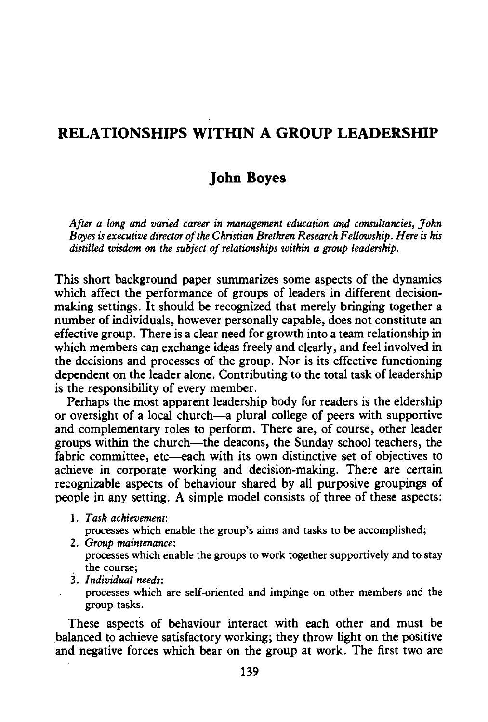## **RELATIONSHIPS WITHIN A GROUP LEADERSHIP**

## **John Boyes**

*After a long and varied career in management education and consultancies, John Boyes is executive director of the Christian Brethren Research Fellowship. Here is his distilled wisdom on the subject of relationships within a group leadership.* 

This short background paper summarizes some aspects of the dynamics which affect the performance of groups of leaders in different decisionmaking settings. It should be recognized that merely bringing together a number of individuals, however personally capable, does not constitute an effective group. There is a clear need for growth into a team relationship in which members can exchange ideas freely and clearly, and feel involved in the decisions and processes of the group. Nor is its effective functioning dependent on the leader alone. Contributing to the total task of leadership is the responsibility of every member.

Perhaps the most apparent leadership body for readers is the eldership or oversight of a local church-a plural college of peers with supportive and complementary roles to perform. There are, of course, other leader groups within the church-the deacons, the Sunday school teachers, the fabric committee, etc—each with its own distinctive set of objectives to achieve in corporate working and decision-making. There are certain recognizable aspects of behaviour shared by all purposive groupings of people in any setting. A simple model consists of three of these aspects:

1. *Task achievement:* 

processes which enable the group's aims and tasks to be accomplished;

- 2. *Group maintenance:*  processes which enable the groups to work together supportively and to stay the course;
- 3. *Individual needs:*
- processes which are self-oriented and impinge on other members and the group tasks.

These aspects of behaviour interact with each other and must be .balanced to achieve satisfactory working; they throw light on the positive and negative forces which bear on the group at work. The first two are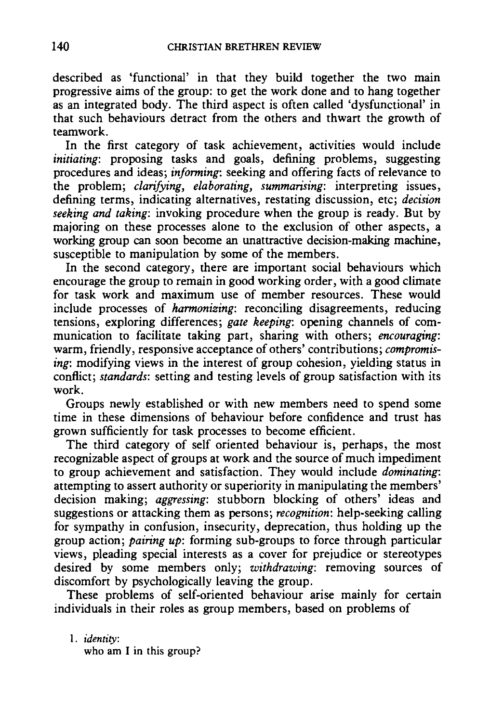described as 'functional' in that they build together the two main progressive aims of the group: to get the work done and to hang together as an integrated body. The third aspect is often called 'dysfunctional' in that such behaviours detract from the others and thwart the growth of teamwork.

In the first category of task achievement, activities would include *initiating*: proposing tasks and goals, defining problems, suggesting procedures and ideas; *informing:* seeking and offering facts of relevance to the problem; *clarifying, elaborating, summarising:* interpreting issues, defining terms, indicating alternatives, restating discussion, etc; *decision seeking and taking:* invoking procedure when the group is ready. But by majoring on these processes alone to the exclusion of other aspects, a working group can soon become an unattractive decision-making machine, susceptible to manipulation by some of the members.

In the second category, there are important social behaviours which encourage the group to remain in good working order, with a good climate for task work and maximum use of member resources. These would include processes of *harmonizing:* reconciling disagreements, reducing tensions, exploring differences; *gate keeping:* opening channels of communication to facilitate taking part, sharing with others; *encouraging:*  warm, friendly, responsive acceptance of others' contributions; *compromising*: modifying views in the interest of group cohesion, yielding status in conflict; *standards:* setting and testing levels of group satisfaction with its work.

Groups newly established or with new members need to spend some time in these dimensions of behaviour before confidence and trust has grown sufficiently for task processes to become efficient.

The third category of self oriented behaviour is, perhaps, the most recognizable aspect of groups at work and the source of much impediment to group achievement and satisfaction. They would include *dominating:*  attempting to assert authority or superiority in manipulating the members' decision making; *aggressing:* stubborn blocking of others' ideas and suggestions or attacking them as persons; *recognition:* help-seeking calling for sympathy in confusion, insecurity, deprecation, thus holding up the group action; *pairing up:* forming sub-groups to force through particular views, pleading special interests as a cover for prejudice or stereotypes desired by some members only; *withdrawing:* removing sources of discomfort by psychologically leaving the group.

These problems of self-oriented behaviour arise mainly for certain individuals in their roles as group members, based on problems of

1. *identity*: who am I in this group?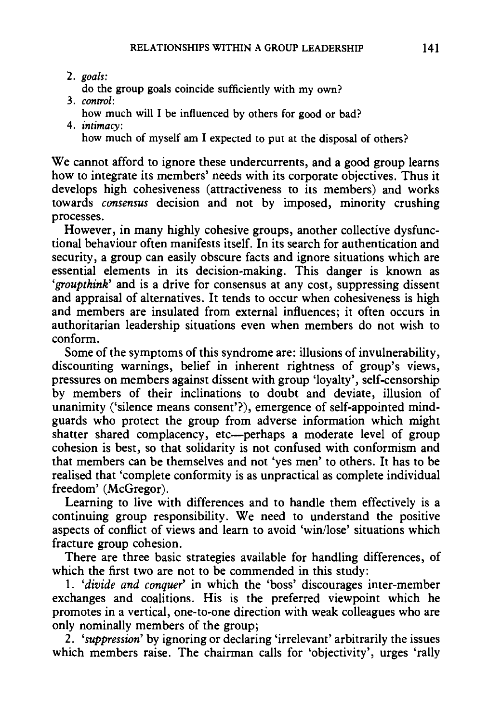- 2. *goals:*
- do the group goals coincide sufficiently with my own?
- 3. *control:* 
	- how much will I be influenced by others for good or bad?
- 4. *intimacy:*

how much of myself am I expected to put at the disposal of others?

We cannot afford to ignore these undercurrents, and a good group learns how to integrate its members' needs with its corporate objectives. Thus it develops high cohesiveness (attractiveness to its members) and works towards *consensus* decision and not by imposed, minority crushing processes.

However, in many highly cohesive groups, another collective dysfunctional behaviour often manifests itself. In its search for authentication and security, a group can easily obscure facts and ignore situations which are essential elements in its decision-making. This danger is known as *'groupthink'* and is a drive for consensus at any cost, suppressing dissent and appraisal of alternatives. It tends to occur when cohesiveness is high and members are insulated from external influences; it often occurs in authoritarian leadership situations even when members do not wish to conform.

Some of the symptoms of this syndrome are: illusions of invulnerability, discounting warnings, belief in inherent rightness of group's views, pressures on members against dissent with group 'loyalty', self-censorship by members of their inclinations to doubt and deviate, illusion of unanimity ('silence means consent'?), emergence of self-appointed mindguards who protect the group from adverse information which might shatter shared complacency, etc-perhaps a moderate level of group cohesion is best, so that solidarity is not confused with conformism and that members can be themselves and not 'yes men' to others. It has to be realised that 'complete conformity is as unpractical as complete individual freedom' (McGregor).

Learning to live with differences and to handle them effectively is a continuing group responsibility. We need to understand the positive aspects of conflict of views and learn to avoid 'win/lose' situations which fracture group cohesion.

There are three basic strategies available for handling differences, of which the first two are not to be commended in this study:

1. *'divide and conquer'* in which the 'boss' discourages inter-member exchanges and coalitions. His is the preferred viewpoint which he promotes in a vertical, one-to-one direction with weak colleagues who are only nominally members of the group;

2. *'suppression'* by ignoring or declaring 'irrelevant' arbitrarily the issues which members raise. The chairman calls for 'objectivity', urges 'rally